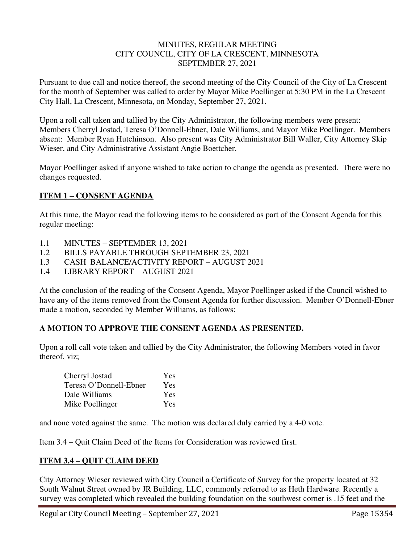#### MINUTES, REGULAR MEETING CITY COUNCIL, CITY OF LA CRESCENT, MINNESOTA SEPTEMBER 27, 2021

Pursuant to due call and notice thereof, the second meeting of the City Council of the City of La Crescent for the month of September was called to order by Mayor Mike Poellinger at 5:30 PM in the La Crescent City Hall, La Crescent, Minnesota, on Monday, September 27, 2021.

Upon a roll call taken and tallied by the City Administrator, the following members were present: Members Cherryl Jostad, Teresa O'Donnell-Ebner, Dale Williams, and Mayor Mike Poellinger. Members absent: Member Ryan Hutchinson. Also present was City Administrator Bill Waller, City Attorney Skip Wieser, and City Administrative Assistant Angie Boettcher.

Mayor Poellinger asked if anyone wished to take action to change the agenda as presented. There were no changes requested.

# **ITEM 1 – CONSENT AGENDA**

At this time, the Mayor read the following items to be considered as part of the Consent Agenda for this regular meeting:

- 1.1 MINUTES SEPTEMBER 13, 2021
- 1.2 BILLS PAYABLE THROUGH SEPTEMBER 23, 2021
- 1.3 CASH BALANCE/ACTIVITY REPORT AUGUST 2021
- 1.4 LIBRARY REPORT AUGUST 2021

At the conclusion of the reading of the Consent Agenda, Mayor Poellinger asked if the Council wished to have any of the items removed from the Consent Agenda for further discussion. Member O'Donnell-Ebner made a motion, seconded by Member Williams, as follows:

# **A MOTION TO APPROVE THE CONSENT AGENDA AS PRESENTED.**

Upon a roll call vote taken and tallied by the City Administrator, the following Members voted in favor thereof, viz;

| Cherryl Jostad         | <b>Yes</b> |
|------------------------|------------|
| Teresa O'Donnell-Ebner | <b>Yes</b> |
| Dale Williams          | Yes        |
| Mike Poellinger        | Yes        |

and none voted against the same. The motion was declared duly carried by a 4-0 vote.

Item 3.4 – Quit Claim Deed of the Items for Consideration was reviewed first.

# **ITEM 3.4 – QUIT CLAIM DEED**

City Attorney Wieser reviewed with City Council a Certificate of Survey for the property located at 32 South Walnut Street owned by JR Building, LLC, commonly referred to as Heth Hardware. Recently a survey was completed which revealed the building foundation on the southwest corner is .15 feet and the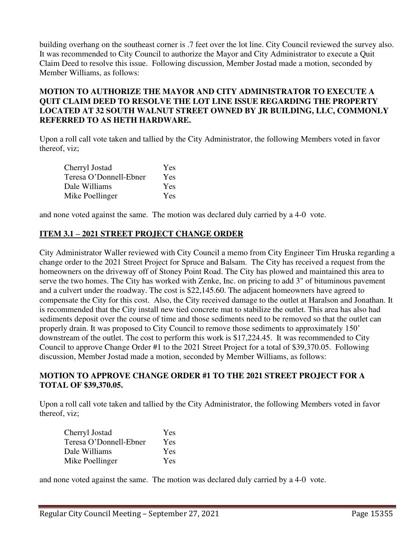building overhang on the southeast corner is .7 feet over the lot line. City Council reviewed the survey also. It was recommended to City Council to authorize the Mayor and City Administrator to execute a Quit Claim Deed to resolve this issue. Following discussion, Member Jostad made a motion, seconded by Member Williams, as follows:

# **MOTION TO AUTHORIZE THE MAYOR AND CITY ADMINISTRATOR TO EXECUTE A QUIT CLAIM DEED TO RESOLVE THE LOT LINE ISSUE REGARDING THE PROPERTY LOCATED AT 32 SOUTH WALNUT STREET OWNED BY JR BUILDING, LLC, COMMONLY REFERRED TO AS HETH HARDWARE.**

Upon a roll call vote taken and tallied by the City Administrator, the following Members voted in favor thereof, viz;

| Cherryl Jostad         | Yes |
|------------------------|-----|
| Teresa O'Donnell-Ebner | Yes |
| Dale Williams          | Yes |
| Mike Poellinger        | Yes |

and none voted against the same. The motion was declared duly carried by a 4-0 vote.

# **ITEM 3.1 – 2021 STREET PROJECT CHANGE ORDER**

City Administrator Waller reviewed with City Council a memo from City Engineer Tim Hruska regarding a change order to the 2021 Street Project for Spruce and Balsam. The City has received a request from the homeowners on the driveway off of Stoney Point Road. The City has plowed and maintained this area to serve the two homes. The City has worked with Zenke, Inc. on pricing to add 3" of bituminous pavement and a culvert under the roadway. The cost is \$22,145.60. The adjacent homeowners have agreed to compensate the City for this cost. Also, the City received damage to the outlet at Haralson and Jonathan. It is recommended that the City install new tied concrete mat to stabilize the outlet. This area has also had sediments deposit over the course of time and those sediments need to be removed so that the outlet can properly drain. It was proposed to City Council to remove those sediments to approximately 150' downstream of the outlet. The cost to perform this work is \$17,224.45. It was recommended to City Council to approve Change Order #1 to the 2021 Street Project for a total of \$39,370.05. Following discussion, Member Jostad made a motion, seconded by Member Williams, as follows:

#### **MOTION TO APPROVE CHANGE ORDER #1 TO THE 2021 STREET PROJECT FOR A TOTAL OF \$39,370.05.**

Upon a roll call vote taken and tallied by the City Administrator, the following Members voted in favor thereof, viz;

| Cherryl Jostad         | Yes        |
|------------------------|------------|
| Teresa O'Donnell-Ebner | <b>Yes</b> |
| Dale Williams          | Yes        |
| Mike Poellinger        | <b>Yes</b> |

and none voted against the same. The motion was declared duly carried by a 4-0 vote.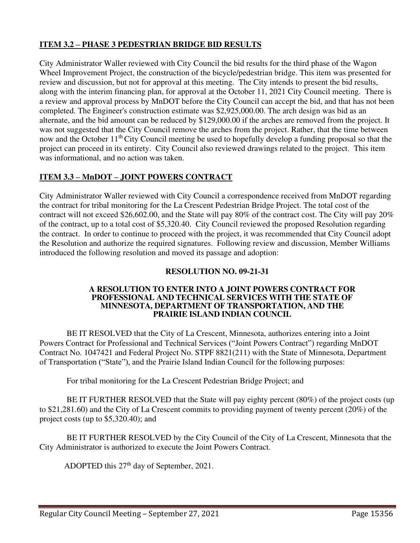# **ITEM 3.2 – PHASE 3 PEDESTRIAN BRIDGE BID RESULTS**

City Administrator Waller reviewed with City Council the bid results for the third phase of the Wagon Wheel Improvement Project, the construction of the bicycle/pedestrian bridge. This item was presented for review and discussion, but not for approval at this meeting. The City intends to present the bid results, along with the interim financing plan, for approval at the October 11, 2021 City Council meeting. There is a review and approval process by MnDOT before the City Council can accept the bid, and that has not been completed. The Engineer's construction estimate was \$2,925,000.00. The arch design was bid as an alternate, and the bid amount can be reduced by \$129,000.00 if the arches are removed from the project. It was not suggested that the City Council remove the arches from the project. Rather, that the time between now and the October 11<sup>th</sup> City Council meeting be used to hopefully develop a funding proposal so that the project can proceed in its entirety. City Council also reviewed drawings related to the project. This item was informational, and no action was taken.

# **ITEM 3.3 – MnDOT – JOINT POWERS CONTRACT**

City Administrator Waller reviewed with City Council a correspondence received from MnDOT regarding the contract for tribal monitoring for the La Crescent Pedestrian Bridge Project. The total cost of the contract will not exceed \$26,602.00, and the State will pay 80% of the contract cost. The City will pay 20% of the contract, up to a total cost of \$5,320.40. City Council reviewed the proposed Resolution regarding the contract. In order to continue to proceed with the project, it was recommended that City Council adopt the Resolution and authorize the required signatures. Following review and discussion, Member Williams introduced the following resolution and moved its passage and adoption:

# **RESOLUTION NO. 09-21-31**

#### **A RESOLUTION TO ENTER INTO A JOINT POWERS CONTRACT FOR PROFESSIONAL AND TECHNICAL SERVICES WITH THE STATE OF MINNESOTA, DEPARTMENT OF TRANSPORTATION, AND THE PRAIRIE ISLAND INDIAN COUNCIL**

BE IT RESOLVED that the City of La Crescent, Minnesota, authorizes entering into a Joint Powers Contract for Professional and Technical Services ("Joint Powers Contract") regarding MnDOT Contract No. 1047421 and Federal Project No. STPF 8821(211) with the State of Minnesota, Department of Transportation ("State"), and the Prairie Island Indian Council for the following purposes:

For tribal monitoring for the La Crescent Pedestrian Bridge Project; and

BE IT FURTHER RESOLVED that the State will pay eighty percent (80%) of the project costs (up to \$21,281.60) and the City of La Crescent commits to providing payment of twenty percent (20%) of the project costs (up to \$5,320.40); and

BE IT FURTHER RESOLVED by the City Council of the City of La Crescent, Minnesota that the City Administrator is authorized to execute the Joint Powers Contract.

ADOPTED this 27<sup>th</sup> day of September, 2021.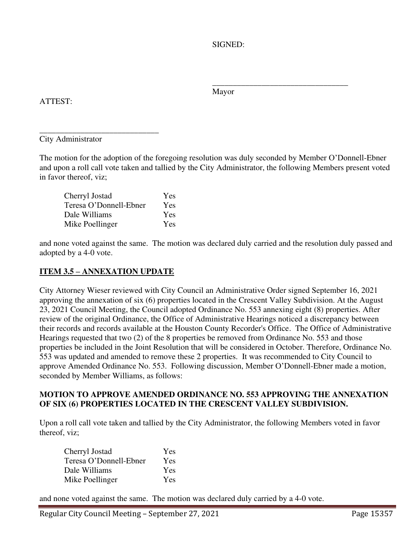SIGNED:

Mayor

 $\frac{1}{\sqrt{2\pi}}$  , which is a set of the set of the set of the set of the set of the set of the set of the set of the set of the set of the set of the set of the set of the set of the set of the set of the set of the set of

ATTEST:

\_\_\_\_\_\_\_\_\_\_\_\_\_\_\_\_\_\_\_\_\_\_\_\_\_\_\_\_\_ City Administrator

The motion for the adoption of the foregoing resolution was duly seconded by Member O'Donnell-Ebner and upon a roll call vote taken and tallied by the City Administrator, the following Members present voted in favor thereof, viz;

| Cherryl Jostad         | Yes        |
|------------------------|------------|
| Teresa O'Donnell-Ebner | Yes        |
| Dale Williams          | <b>Yes</b> |
| Mike Poellinger        | Yes        |

and none voted against the same. The motion was declared duly carried and the resolution duly passed and adopted by a 4-0 vote.

# **ITEM 3.5 – ANNEXATION UPDATE**

City Attorney Wieser reviewed with City Council an Administrative Order signed September 16, 2021 approving the annexation of six (6) properties located in the Crescent Valley Subdivision. At the August 23, 2021 Council Meeting, the Council adopted Ordinance No. 553 annexing eight (8) properties. After review of the original Ordinance, the Office of Administrative Hearings noticed a discrepancy between their records and records available at the Houston County Recorder's Office. The Office of Administrative Hearings requested that two (2) of the 8 properties be removed from Ordinance No. 553 and those properties be included in the Joint Resolution that will be considered in October. Therefore, Ordinance No. 553 was updated and amended to remove these 2 properties. It was recommended to City Council to approve Amended Ordinance No. 553. Following discussion, Member O'Donnell-Ebner made a motion, seconded by Member Williams, as follows:

# **MOTION TO APPROVE AMENDED ORDINANCE NO. 553 APPROVING THE ANNEXATION OF SIX (6) PROPERTIES LOCATED IN THE CRESCENT VALLEY SUBDIVISION.**

Upon a roll call vote taken and tallied by the City Administrator, the following Members voted in favor thereof, viz;

| Cherryl Jostad         | Yes        |
|------------------------|------------|
| Teresa O'Donnell-Ebner | Yes        |
| Dale Williams          | <b>Yes</b> |
| Mike Poellinger        | <b>Yes</b> |

and none voted against the same. The motion was declared duly carried by a 4-0 vote.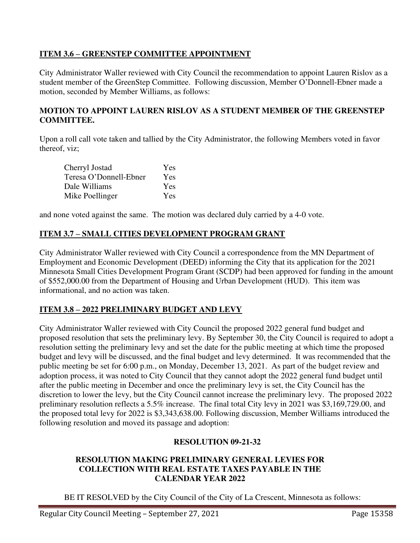# **ITEM 3.6 – GREENSTEP COMMITTEE APPOINTMENT**

City Administrator Waller reviewed with City Council the recommendation to appoint Lauren Rislov as a student member of the GreenStep Committee. Following discussion, Member O'Donnell-Ebner made a motion, seconded by Member Williams, as follows:

# **MOTION TO APPOINT LAUREN RISLOV AS A STUDENT MEMBER OF THE GREENSTEP COMMITTEE.**

Upon a roll call vote taken and tallied by the City Administrator, the following Members voted in favor thereof, viz;

| Cherryl Jostad         | Yes        |
|------------------------|------------|
| Teresa O'Donnell-Ebner | Yes        |
| Dale Williams          | <b>Yes</b> |
| Mike Poellinger        | <b>Yes</b> |

and none voted against the same. The motion was declared duly carried by a 4-0 vote.

# **ITEM 3.7 – SMALL CITIES DEVELOPMENT PROGRAM GRANT**

City Administrator Waller reviewed with City Council a correspondence from the MN Department of Employment and Economic Development (DEED) informing the City that its application for the 2021 Minnesota Small Cities Development Program Grant (SCDP) had been approved for funding in the amount of \$552,000.00 from the Department of Housing and Urban Development (HUD). This item was informational, and no action was taken.

# **ITEM 3.8 – 2022 PRELIMINARY BUDGET AND LEVY**

City Administrator Waller reviewed with City Council the proposed 2022 general fund budget and proposed resolution that sets the preliminary levy. By September 30, the City Council is required to adopt a resolution setting the preliminary levy and set the date for the public meeting at which time the proposed budget and levy will be discussed, and the final budget and levy determined. It was recommended that the public meeting be set for 6:00 p.m., on Monday, December 13, 2021. As part of the budget review and adoption process, it was noted to City Council that they cannot adopt the 2022 general fund budget until after the public meeting in December and once the preliminary levy is set, the City Council has the discretion to lower the levy, but the City Council cannot increase the preliminary levy. The proposed 2022 preliminary resolution reflects a 5.5% increase. The final total City levy in 2021 was \$3,169,729.00, and the proposed total levy for 2022 is \$3,343,638.00. Following discussion, Member Williams introduced the following resolution and moved its passage and adoption:

# **RESOLUTION 09-21-32**

#### **RESOLUTION MAKING PRELIMINARY GENERAL LEVIES FOR COLLECTION WITH REAL ESTATE TAXES PAYABLE IN THE CALENDAR YEAR 2022**

BE IT RESOLVED by the City Council of the City of La Crescent, Minnesota as follows: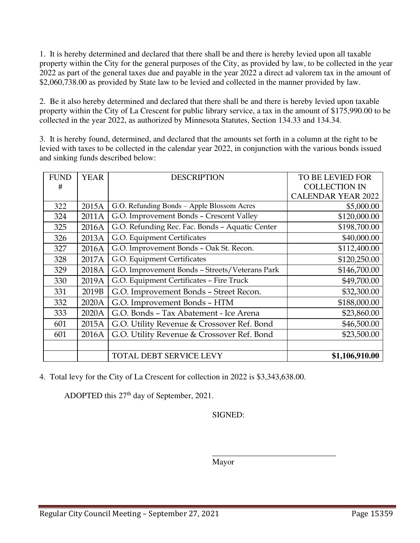1. It is hereby determined and declared that there shall be and there is hereby levied upon all taxable property within the City for the general purposes of the City, as provided by law, to be collected in the year 2022 as part of the general taxes due and payable in the year 2022 a direct ad valorem tax in the amount of \$2,060,738.00 as provided by State law to be levied and collected in the manner provided by law.

2. Be it also hereby determined and declared that there shall be and there is hereby levied upon taxable property within the City of La Crescent for public library service, a tax in the amount of \$175,990.00 to be collected in the year 2022, as authorized by Minnesota Statutes, Section 134.33 and 134.34.

3. It is hereby found, determined, and declared that the amounts set forth in a column at the right to be levied with taxes to be collected in the calendar year 2022, in conjunction with the various bonds issued and sinking funds described below:

| <b>FUND</b> | <b>YEAR</b> | <b>DESCRIPTION</b>                              | <b>TO BE LEVIED FOR</b>   |
|-------------|-------------|-------------------------------------------------|---------------------------|
| #           |             |                                                 | <b>COLLECTION IN</b>      |
|             |             |                                                 | <b>CALENDAR YEAR 2022</b> |
| 322         | 2015A       | G.O. Refunding Bonds - Apple Blossom Acres      | \$5,000.00                |
| 324         | 2011A       | G.O. Improvement Bonds - Crescent Valley        | \$120,000.00              |
| 325         | 2016A       | G.O. Refunding Rec. Fac. Bonds - Aquatic Center | \$198,700.00              |
| 326         | 2013A       | G.O. Equipment Certificates                     | \$40,000.00               |
| 327         | 2016A       | G.O. Improvement Bonds - Oak St. Recon.         | \$112,400.00              |
| 328         | 2017A       | G.O. Equipment Certificates                     | \$120,250.00              |
| 329         | 2018A       | G.O. Improvement Bonds - Streets/Veterans Park  | \$146,700.00              |
| 330         | 2019A       | G.O. Equipment Certificates - Fire Truck        | \$49,700.00               |
| 331         | 2019B       | G.O. Improvement Bonds - Street Recon.          | \$32,300.00               |
| 332         | 2020A       | G.O. Improvement Bonds - HTM                    | \$188,000.00              |
| 333         | 2020A       | G.O. Bonds - Tax Abatement - Ice Arena          | \$23,860.00               |
| 601         | 2015A       | G.O. Utility Revenue & Crossover Ref. Bond      | \$46,500.00               |
| 601         | 2016A       | G.O. Utility Revenue & Crossover Ref. Bond      | \$23,500.00               |
|             |             |                                                 |                           |
|             |             | TOTAL DEBT SERVICE LEVY                         | \$1,106,910.00            |

4. Total levy for the City of La Crescent for collection in 2022 is \$3,343,638.00.

 $\overline{\phantom{a}}$  , and the contract of the contract of the contract of the contract of the contract of the contract of the contract of the contract of the contract of the contract of the contract of the contract of the contrac

ADOPTED this 27th day of September, 2021.

SIGNED:

Mayor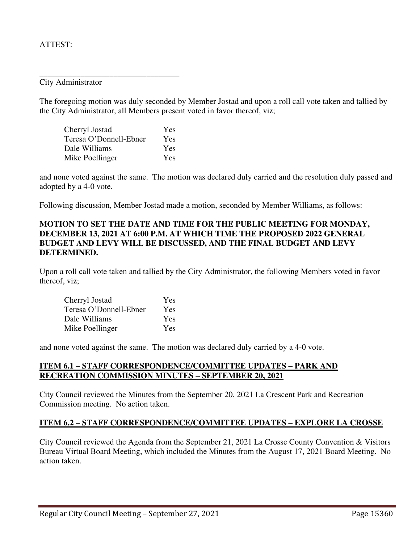### ATTEST:

City Administrator

The foregoing motion was duly seconded by Member Jostad and upon a roll call vote taken and tallied by the City Administrator, all Members present voted in favor thereof, viz;

| Cherryl Jostad         | Yes |
|------------------------|-----|
| Teresa O'Donnell-Ebner | Yes |
| Dale Williams          | Yes |
| Mike Poellinger        | Yes |

\_\_\_\_\_\_\_\_\_\_\_\_\_\_\_\_\_\_\_\_\_\_\_\_\_\_\_\_\_\_\_\_\_\_

and none voted against the same. The motion was declared duly carried and the resolution duly passed and adopted by a 4-0 vote.

Following discussion, Member Jostad made a motion, seconded by Member Williams, as follows:

# **MOTION TO SET THE DATE AND TIME FOR THE PUBLIC MEETING FOR MONDAY, DECEMBER 13, 2021 AT 6:00 P.M. AT WHICH TIME THE PROPOSED 2022 GENERAL BUDGET AND LEVY WILL BE DISCUSSED, AND THE FINAL BUDGET AND LEVY DETERMINED.**

Upon a roll call vote taken and tallied by the City Administrator, the following Members voted in favor thereof, viz;

| Cherryl Jostad         | Yes |
|------------------------|-----|
| Teresa O'Donnell-Ebner | Yes |
| Dale Williams          | Yes |
| Mike Poellinger        | Yes |

and none voted against the same. The motion was declared duly carried by a 4-0 vote.

#### **ITEM 6.1 – STAFF CORRESPONDENCE/COMMITTEE UPDATES – PARK AND RECREATION COMMISSION MINUTES – SEPTEMBER 20, 2021**

City Council reviewed the Minutes from the September 20, 2021 La Crescent Park and Recreation Commission meeting. No action taken.

#### **ITEM 6.2 – STAFF CORRESPONDENCE/COMMITTEE UPDATES – EXPLORE LA CROSSE**

City Council reviewed the Agenda from the September 21, 2021 La Crosse County Convention & Visitors Bureau Virtual Board Meeting, which included the Minutes from the August 17, 2021 Board Meeting. No action taken.